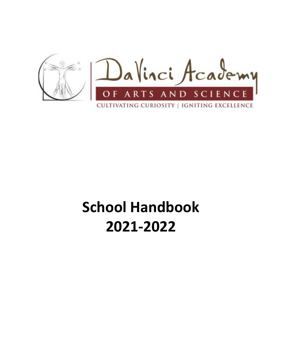

# **School Handbook 2021-2022**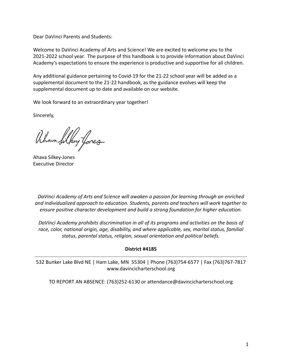Dear DaVinci Parents and Students:

Welcome to DaVinci Academy of Arts and Science! We are excited to welcome you to the 2021-2022 school year. The purpose of this handbook is to provide information about DaVinci Academy's expectations to ensure the experience is productive and supportive for all children.

Any additional guidance pertaining to Covid-19 for the 21-22 school year will be added as a supplemental document to the 21-22 handbook, as the guidance evolves will keep the supplemental document up to date and available on our website.

We look forward to an extraordinary year together!

Sincerely,

Ahan Silky fores

Ahava Silkey-Jones Executive Director

*DaVinci Academy of Arts and Science will awaken a passion for learning through an enriched and individualized approach to education. Students, parents and teachers will work together to ensure positive character development and build a strong foundation for higher education.*

*DaVinci Academy prohibits discrimination in all of its programs and activities on the basis of race, color, national origin, age, disability, and where applicable, sex, marital status, familial status, parental status, religion, sexual orientation and political beliefs.*

#### **District #4185**

532 Bunker Lake Blvd NE | Ham Lake, MN 55304 | Phone (763)754-6577 | Fax (763)767-7817 www.davincicharterschool.org

TO REPORT AN ABSENCE: (763)252-6130 or attendance@davincicharterschool.org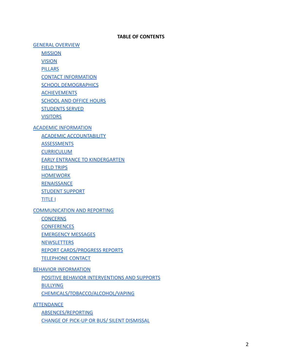#### **TABLE OF CONTENTS**

[GENERAL OVERVIEW](#page-6-0)

**[MISSION](#page-6-1)** 

[VISION](#page-6-2)

**[PILLARS](#page-6-3)** 

[CONTACT INFORMATION](#page-6-4)

[SCHOOL DEMOGRAPHICS](#page-7-0)

[ACHIEVEMENTS](#page-7-1)

[SCHOOL AND OFFICE HOURS](#page-7-2)

[STUDENTS SERVED](#page-7-3)

**[VISITORS](#page-7-4)** 

[ACADEMIC INFORMATION](#page-8-0)

[ACADEMIC ACCOUNTABILITY](#page-8-1)

[ASSESSMENTS](#page-8-2)

**[CURRICULUM](#page-8-3)** 

[EARLY ENTRANCE TO KINDERGARTEN](#page-9-0)

[FIELD TRIPS](#page-9-1)

[HOMEWORK](#page-10-0)

**[RENAISSANCE](#page-10-1)** 

[STUDENT SUPPORT](#page-10-2)

[TITLE I](#page-11-0)

# [COMMUNICATION AND REPORTING](#page-11-1)

**[CONCERNS](#page-11-2)** 

**[CONFERENCES](#page-12-0)** 

[EMERGENCY MESSAGES](#page-12-1)

**[NEWSLETTERS](#page-12-2)** 

[REPORT CARDS/PROGRESS REPORTS](#page-12-3)

[TELEPHONE CONTACT](#page-12-4)

[BEHAVIOR INFORMATION](#page-13-0)

[POSITIVE BEHAVIOR INTERVENTIONS AND SUPPORTS](#page-13-1) [BULLYING](#page-13-2)

[CHEMICALS/TOBACCO/ALCOHOL/VAPING](#page-14-0)

**[ATTENDANCE](#page-14-1)** 

[ABSENCES/REPORTING](#page-14-2)

[CHANGE OF PICK-UP OR BUS/ SILENT DISMISSAL](#page-14-3)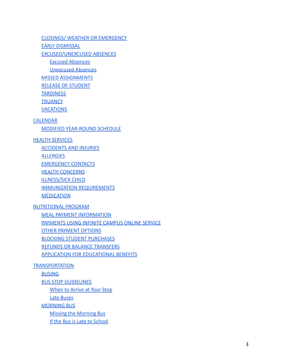[CLOSINGS/ WEATHER OR EMERGENCY](#page-15-0)

[EARLY DISMISSAL](#page-15-1)

[EXCUSED/UNEXCUSED ABSENCES](#page-15-2)

[Excused Absences](#page-15-3)

[Unexcused Absences](#page-16-0)

[MISSED ASSIGNMENTS](#page-16-1)

[RELEASE OF STUDENT](#page-16-2)

**[TARDINESS](#page-16-3)** 

**[TRUANCY](#page-17-0)** 

**[VACATIONS](#page-17-1)** 

#### [CALENDAR](#page-18-0)

[MODIFIED YEAR-ROUND SCHEDULE](#page-19-0)

#### **[HEALTH SERVICES](#page-19-1)**

[ACCIDENTS AND INJURIES](#page-19-2)

**[ALLERGIES](#page-19-3)** 

[EMERGENCY CONTACTS](#page-19-4)

**[HEALTH CONCERNS](#page-19-5)** 

[ILLNESS/SICK CHILD](#page-19-6)

[IMMUNIZATION REQUIREMENTS](#page-20-0)

[MEDICATION](#page-20-1)

#### [NUTRITIONAL PROGRAM](#page-21-0)

[MEAL PAYMENT INFORMATION](#page-21-1) [PAYMENTS USING INFINITE CAMPUS ONLINE SERVICE](#page-21-2) [OTHER PAYMENT OPTIONS](#page-22-0) [BLOCKING STUDENT PURCHASES](#page-22-1) [REFUNDS OR BALANCE TRANSFERS](#page-22-2)

[APPLICATION FOR EDUCATIONAL BENEFITS](#page-22-3)

#### [TRANSPORTATION](#page-22-4)

[BUSING](#page-22-5)

[BUS STOP GUIDELINES](#page-23-0)

[When to Arrive at Your Stop](#page-23-1)

[Late Buses](#page-23-2)

**[MORNING BUS](#page-23-3)** 

[Missing the Morning Bus](#page-24-0)

[If the Bus is Late to School](#page-24-1)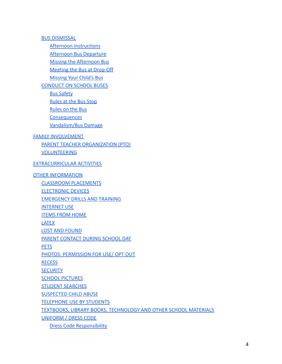[BUS DISMISSAL](#page-24-2)

[Afternoon Instructions](#page-24-3)

[Afternoon Bus Departure](#page-24-4)

[Missing the Afternoon Bus](#page-24-5)

[Meeting the Bus at Drop-Off](#page-25-0)

[Missing Your Child's Bus](#page-25-1)

[CONDUCT ON SCHOOL BUSES](#page-25-2)

[Bus Safety](#page-25-3)

[Rules at the Bus Stop](#page-26-0)

[Rules on the Bus](#page-26-1)

**[Consequences](#page-26-2)** 

[Vandalism/Bus Damage](#page-26-3)

#### [FAMILY INVOLVEMENT](#page-27-0)

[PARENT TEACHER ORGANIZATION \(PTO\)](#page-27-1)

[VOLUNTEERING](#page-27-2)

#### [EXTRACURRICULAR ACTIVITIES](#page-27-3)

#### **[OTHER INFORMATION](#page-28-0)**

[CLASSROOM PLACEMENTS](#page-28-1) [ELECTRONIC DEVICES](#page-28-2) [EMERGENCY DRILLS AND TRAINING](#page-29-0) [INTERNET USE](#page-29-1) [ITEMS FROM HOME](#page-29-2) [LATEX](#page-29-3) [LOST AND FOUND](#page-30-0) [PARENT CONTACT DURING SCHOOL DAY](#page-30-1) **[PETS](#page-30-2)** [PHOTOS: PERMISSION FOR USE/ OPT OUT](#page-30-3) **[RECESS](#page-30-4)** 

**[SECURITY](#page-30-5)** 

**[SCHOOL PICTURES](#page-31-0)** 

[STUDENT SEARCHES](#page-31-1)

[SUSPECTED CHILD ABUSE](#page-31-2)

[TELEPHONE USE BY STUDENTS](#page-31-3)

[TEXTBOOKS, LIBRARY BOOKS, TECHNOLOGY AND OTHER SCHOOL](#page-31-4) MATERIALS

[UNIFORM / DRESS CODE](#page-31-5)

[Dress Code Responsibility](#page-32-0)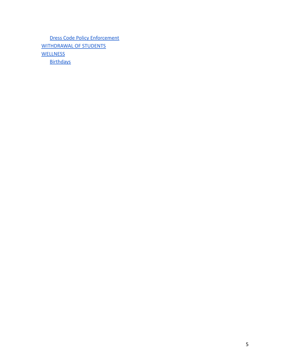[Dress Code Policy Enforcement](#page-32-1) [WITHDRAWAL OF STUDENTS](#page-34-0) **[WELLNESS](#page-34-1) [Birthdays](#page-34-2)**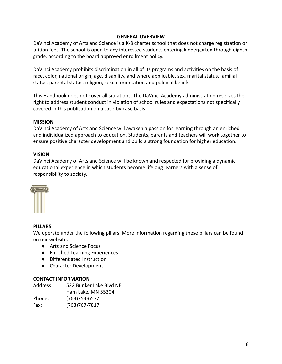#### **GENERAL OVERVIEW**

<span id="page-6-0"></span>DaVinci Academy of Arts and Science is a K-8 charter school that does not charge registration or tuition fees. The school is open to any interested students entering kindergarten through eighth grade, according to the board approved enrollment policy.

DaVinci Academy prohibits discrimination in all of its programs and activities on the basis of race, color, national origin, age, disability, and where applicable, sex, marital status, familial status, parental status, religion, sexual orientation and political beliefs.

This Handbook does not cover all situations. The DaVinci Academy administration reserves the right to address student conduct in violation of school rules and expectations not specifically covered in this publication on a case-by-case basis.

#### <span id="page-6-1"></span>**MISSION**

DaVinci Academy of Arts and Science will awaken a passion for learning through an enriched and individualized approach to education. Students, parents and teachers will work together to ensure positive character development and build a strong foundation for higher education.

#### <span id="page-6-2"></span>**VISION**

DaVinci Academy of Arts and Science will be known and respected for providing a dynamic educational experience in which students become lifelong learners with a sense of responsibility to society.



#### <span id="page-6-3"></span>**PILLARS**

We operate under the following pillars. More information regarding these pillars can be found on our website.

- Arts and Science Focus
- Enriched Learning Experiences
- Differentiated Instruction
- Character Development

#### <span id="page-6-4"></span>**CONTACT INFORMATION**

| Address: | 532 Bunker Lake Blyd NE |
|----------|-------------------------|
|          | Ham Lake, MN 55304      |
| Phone:   | $(763)754-6577$         |
| Fax:     | $(763)767 - 7817$       |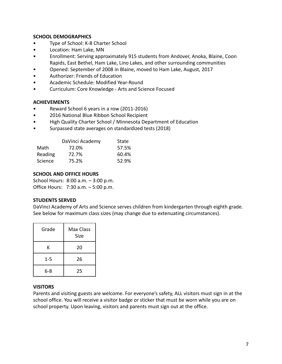# <span id="page-7-0"></span>**SCHOOL DEMOGRAPHICS**

- Type of School: K-8 Charter School
- Location: Ham Lake, MN
- Enrollment: Serving approximately 915 students from Andover, Anoka, Blaine, Coon Rapids, East Bethel, Ham Lake, Lino Lakes, and other surrounding communities
- Opened: September of 2008 in Blaine, moved to Ham Lake, August, 2017
- Authorizer: Friends of Education
- Academic Schedule: Modified Year-Round
- Curriculum: Core Knowledge Arts and Science Focused

#### <span id="page-7-1"></span>**ACHIEVEMENTS**

- Reward School 6 years in a row (2011-2016)
- 2016 National Blue Ribbon School Recipient
- High Quality Charter School / Minnesota Department of Education
- Surpassed state averages on standardized tests (2018)

|         | DaVinci Academy | State |
|---------|-----------------|-------|
| Math    | 72.0%           | 57.5% |
| Reading | 72.7%           | 60.4% |
| Science | 75.2%           | 52.9% |

#### <span id="page-7-2"></span>**SCHOOL AND OFFICE HOURS**

School Hours: 8:00 a.m. – 3:00 p.m. Office Hours: 7:30 a.m. – 5:00 p.m.

#### <span id="page-7-3"></span>**STUDENTS SERVED**

DaVinci Academy of Arts and Science serves children from kindergarten through eighth grade. See below for maximum class sizes (may change due to extenuating circumstances).

| Grade   | Max Class<br>Size |
|---------|-------------------|
| Κ       | 20                |
| $1 - 5$ | 26                |
| 6-8     | 25                |

#### <span id="page-7-4"></span>**VISITORS**

Parents and visiting guests are welcome. For everyone's safety, ALL visitors must sign in at the school office. You will receive a visitor badge or sticker that must be worn while you are on school property. Upon leaving, visitors and parents must sign out at the office.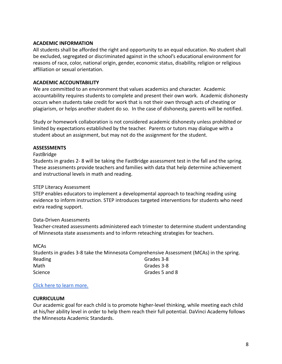#### <span id="page-8-0"></span>**ACADEMIC INFORMATION**

All students shall be afforded the right and opportunity to an equal education. No student shall be excluded, segregated or discriminated against in the school's educational environment for reasons of race, color, national origin, gender, economic status, disability, religion or religious affiliation or sexual orientation.

# <span id="page-8-1"></span>**ACADEMIC ACCOUNTABILITY**

We are committed to an environment that values academics and character. Academic accountability requires students to complete and present their own work. Academic dishonesty occurs when students take credit for work that is not their own through acts of cheating or plagiarism, or helps another student do so. In the case of dishonesty, parents will be notified.

Study or homework collaboration is not considered academic dishonesty unless prohibited or limited by expectations established by the teacher. Parents or tutors may dialogue with a student about an assignment, but may not do the assignment for the student.

# <span id="page-8-2"></span>**ASSESSMENTS**

#### FastBridge

Students in grades 2- 8 will be taking the FastBridge assessment test in the fall and the spring. These assessments provide teachers and families with data that help determine achievement and instructional levels in math and reading.

# STEP Literacy Assessment

STEP enables educators to implement a developmental approach to teaching reading using evidence to inform instruction. STEP introduces targeted interventions for students who need extra reading support.

# Data-Driven Assessments

Teacher-created assessments administered each trimester to determine student understanding of Minnesota state assessments and to inform reteaching strategies for teachers.

| <b>MCAs</b>                                                                              |                |
|------------------------------------------------------------------------------------------|----------------|
| Students in grades 3-8 take the Minnesota Comprehensive Assessment (MCAs) in the spring. |                |
| Reading                                                                                  | Grades 3-8     |
| Math                                                                                     | Grades 3-8     |
| Science                                                                                  | Grades 5 and 8 |

# [Click here to learn more.](https://davincicharterschool.org/academics/assessments/)

# <span id="page-8-3"></span>**CURRICULUM**

Our academic goal for each child is to promote higher-level thinking, while meeting each child at his/her ability level in order to help them reach their full potential. DaVinci Academy follows the Minnesota Academic Standards.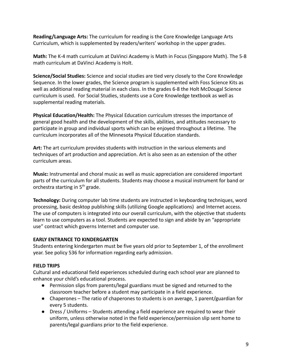**Reading/Language Arts:** The curriculum for reading is the Core Knowledge Language Arts Curriculum, which is supplemented by readers/writers' workshop in the upper grades.

**Math:** The K-4 math curriculum at DaVinci Academy is Math in Focus (Singapore Math). The 5-8 math curriculum at DaVinci Academy is Holt.

**Science/Social Studies:** Science and social studies are tied very closely to the Core Knowledge Sequence. In the lower grades, the Science program is supplemented with Foss Science Kits as well as additional reading material in each class. In the grades 6-8 the Holt McDougal Science curriculum is used. For Social Studies, students use a Core Knowledge textbook as well as supplemental reading materials.

**Physical Education/Health:** The Physical Education curriculum stresses the importance of general good health and the development of the skills, abilities, and attitudes necessary to participate in group and individual sports which can be enjoyed throughout a lifetime. The curriculum incorporates all of the Minnesota Physical Education standards.

**Art:** The art curriculum provides students with instruction in the various elements and techniques of art production and appreciation. Art is also seen as an extension of the other curriculum areas.

**Music:** Instrumental and choral music as well as music appreciation are considered important parts of the curriculum for all students. Students may choose a musical instrument for band or orchestra starting in  $5<sup>th</sup>$  grade.

**Technology:** During computer lab time students are instructed in keyboarding techniques, word processing, basic desktop publishing skills (utilizing Google applications) and Internet access. The use of computers is integrated into our overall curriculum, with the objective that students learn to use computers as a tool. Students are expected to sign and abide by an "appropriate use" contract which governs Internet and computer use.

#### <span id="page-9-0"></span>**EARLY ENTRANCE TO KINDERGARTEN**

Students entering kindergarten must be five years old prior to September 1, of the enrollment year. See policy 536 for information regarding early admission.

# <span id="page-9-1"></span>**FIELD TRIPS**

Cultural and educational field experiences scheduled during each school year are planned to enhance your child's educational process.

- Permission slips from parents/legal guardians must be signed and returned to the classroom teacher before a student may participate in a field experience.
- Chaperones The ratio of chaperones to students is on average, 1 parent/guardian for every 5 students.
- Dress / Uniforms Students attending a field experience are required to wear their uniform, unless otherwise noted in the field experience/permission slip sent home to parents/legal guardians prior to the field experience.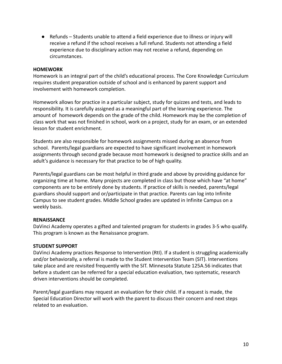● Refunds – Students unable to attend a field experience due to illness or injury will receive a refund if the school receives a full refund. Students not attending a field experience due to disciplinary action may not receive a refund, depending on circumstances.

#### <span id="page-10-0"></span>**HOMEWORK**

Homework is an integral part of the child's educational process. The Core Knowledge Curriculum requires student preparation outside of school and is enhanced by parent support and involvement with homework completion.

Homework allows for practice in a particular subject, study for quizzes and tests, and leads to responsibility. It is carefully assigned as a meaningful part of the learning experience. The amount of homework depends on the grade of the child. Homework may be the completion of class work that was not finished in school, work on a project, study for an exam, or an extended lesson for student enrichment.

Students are also responsible for homework assignments missed during an absence from school. Parents/legal guardians are expected to have significant involvement in homework assignments through second grade because most homework is designed to practice skills and an adult's guidance is necessary for that practice to be of high quality.

Parents/legal guardians can be most helpful in third grade and above by providing guidance for organizing time at home. Many projects are completed in class but those which have "at home" components are to be entirely done by students. If practice of skills is needed, parents/legal guardians should support and or/participate in that practice. Parents can log into Infinite Campus to see student grades. Middle School grades are updated in Infinite Campus on a weekly basis.

# <span id="page-10-1"></span>**RENAISSANCE**

DaVinci Academy operates a gifted and talented program for students in grades 3-5 who qualify. This program is known as the Renaissance program.

#### <span id="page-10-2"></span>**STUDENT SUPPORT**

DaVinci Academy practices Response to Intervention (RtI). If a student is struggling academically and/or behaviorally, a referral is made to the Student Intervention Team (SIT). Interventions take place and are revisited frequently with the SIT. Minnesota Statute 125A.56 indicates that before a student can be referred for a special education evaluation, two systematic, research driven interventions should be completed.

Parent/legal guardians may request an evaluation for their child. If a request is made, the Special Education Director will work with the parent to discuss their concern and next steps related to an evaluation.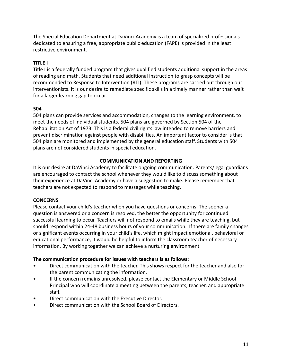The Special Education Department at DaVinci Academy is a team of specialized professionals dedicated to ensuring a free, appropriate public education (FAPE) is provided in the least restrictive environment.

# <span id="page-11-0"></span>**TITLE I**

Title I is a federally funded program that gives qualified students additional support in the areas of reading and math. Students that need additional instruction to grasp concepts will be recommended to Response to Intervention (RTI). These programs are carried out through our interventionists. It is our desire to remediate specific skills in a timely manner rather than wait for a larger learning gap to occur.

# **504**

504 plans can provide services and accommodation, changes to the learning environment, to meet the needs of individual students. 504 plans are governed by Section 504 of the Rehabilitation Act of 1973. This is a federal civil rights law intended to remove barriers and prevent discrimination against people with disabilities. An important factor to consider is that 504 plan are monitored and implemented by the general education staff. Students with 504 plans are not considered students in special education.

#### **COMMUNICATION AND REPORTING**

<span id="page-11-1"></span>It is our desire at DaVinci Academy to facilitate ongoing communication. Parents/legal guardians are encouraged to contact the school whenever they would like to discuss something about their experience at DaVinci Academy or have a suggestion to make. Please remember that teachers are not expected to respond to messages while teaching.

# <span id="page-11-2"></span>**CONCERNS**

Please contact your child's teacher when you have questions or concerns. The sooner a question is answered or a concern is resolved, the better the opportunity for continued successful learning to occur. Teachers will not respond to emails while they are teaching, but should respond within 24-48 business hours of your communication. If there are family changes or significant events occurring in your child's life, which might impact emotional, behavioral or educational performance, it would be helpful to inform the classroom teacher of necessary information. By working together we can achieve a nurturing environment.

# **The communication procedure for issues with teachers is as follows:**

- Direct communication with the teacher. This shows respect for the teacher and also for the parent communicating the information.
- If the concern remains unresolved, please contact the Elementary or Middle School Principal who will coordinate a meeting between the parents, teacher, and appropriate staff.
- Direct communication with the Executive Director.
- Direct communication with the School Board of Directors.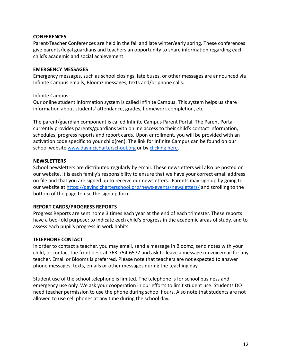#### <span id="page-12-0"></span>**CONFERENCES**

Parent-Teacher Conferences are held in the fall and late winter/early spring. These conferences give parents/legal guardians and teachers an opportunity to share information regarding each child's academic and social achievement.

#### <span id="page-12-1"></span>**EMERGENCY MESSAGES**

Emergency messages, such as school closings, late buses, or other messages are announced via Infinite Campus emails, Bloomz messages, texts and/or phone calls.

#### Infinite Campus

Our online student information system is called Infinite Campus. This system helps us share information about students' attendance, grades, homework completion, etc.

The parent/guardian component is called Infinite Campus Parent Portal. The Parent Portal currently provides parents/guardians with online access to their child's contact information, schedules, progress reports and report cards. Upon enrollment, you will be provided with an activation code specific to your child(ren). The link for Infinite Campus can be found on our school website [www.davincicharterschool.org](http://www.davincicharterschool.org.) or by [clicking here.](https://mncloud3.infinitecampus.org/campus/portal/davinci.jsp?status=portalLogoff&lang=en)

#### <span id="page-12-2"></span>**NEWSLETTERS**

School newsletters are distributed regularly by email. These newsletters will also be posted on our website. It is each family's responsibility to ensure that we have your correct email address on file and that you are signed up to receive our newsletters. Parents may sign up by going to our website at <https://davincicharterschool.org/news-events/newsletters/> and scrolling to the bottom of the page to use the sign up form.

#### <span id="page-12-3"></span>**REPORT CARDS/PROGRESS REPORTS**

Progress Reports are sent home 3 times each year at the end of each trimester. These reports have a two-fold purpose: to indicate each child's progress in the academic areas of study, and to assess each pupil's progress in work habits.

#### <span id="page-12-4"></span>**TELEPHONE CONTACT**

In order to contact a teacher, you may email, send a message in Bloomz, send notes with your child, or contact the front desk at 763-754-6577 and ask to leave a message on voicemail for any teacher. Email or Bloomz is preferred. Please note that teachers are not expected to answer phone messages, texts, emails or other messages during the teaching day.

Student use of the school telephone is limited. The telephone is for school business and emergency use only. We ask your cooperation in our efforts to limit student use. Students DO need teacher permission to use the phone during school hours. Also note that students are not allowed to use cell phones at any time during the school day.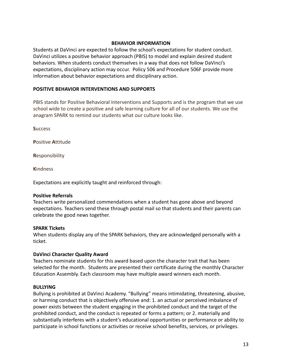#### **BEHAVIOR INFORMATION**

<span id="page-13-0"></span>Students at DaVinci are expected to follow the school's expectations for student conduct. DaVinci utilizes a positive behavior approach (PBIS) to model and explain desired student behaviors. When students conduct themselves in a way that does not follow DaVinci's expectations, disciplinary action may occur. Policy 506 and Procedure 506F provide more information about behavior expectations and disciplinary action.

#### <span id="page-13-1"></span>**POSITIVE BEHAVIOR INTERVENTIONS AND SUPPORTS**

PBIS stands for Positive Behavioral Interventions and Supports and is the program that we use school wide to create a positive and safe learning culture for all of our students. We use the anagram SPARK to remind our students what our culture looks like.

**S**uccess

**P**ositive **A**ttitude

**R**esponsibility

**K**indness

Expectations are explicitly taught and reinforced through:

#### **Positive Referrals**

Teachers write personalized commendations when a student has gone above and beyond expectations. Teachers send these through postal mail so that students and their parents can celebrate the good news together.

#### **SPARK Tickets**

When students display any of the SPARK behaviors, they are acknowledged personally with a ticket.

#### **DaVinci Character Quality Award**

Teachers nominate students for this award based upon the character trait that has been selected for the month. Students are presented their certificate during the monthly Character Education Assembly. Each classroom may have multiple award winners each month.

#### <span id="page-13-2"></span>**BULLYING**

Bullying is prohibited at DaVinci Academy. "Bullying" means intimidating, threatening, abusive, or harming conduct that is objectively offensive and: 1. an actual or perceived imbalance of power exists between the student engaging in the prohibited conduct and the target of the prohibited conduct, and the conduct is repeated or forms a pattern; or 2. materially and substantially interferes with a student's educational opportunities or performance or ability to participate in school functions or activities or receive school benefits, services, or privileges.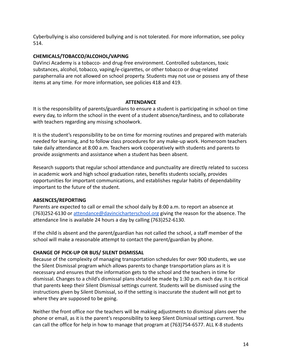Cyberbullying is also considered bullying and is not tolerated. For more information, see policy 514.

#### <span id="page-14-0"></span>**CHEMICALS/TOBACCO/ALCOHOL/VAPING**

DaVinci Academy is a tobacco- and drug-free environment. Controlled substances, toxic substances, alcohol, tobacco, vaping/e-cigarettes, or other tobacco or drug-related paraphernalia are not allowed on school property. Students may not use or possess any of these items at any time. For more information, see policies 418 and 419.

#### **ATTENDANCE**

<span id="page-14-1"></span>It is the responsibility of parents/guardians to ensure a student is participating in school on time every day, to inform the school in the event of a student absence/tardiness, and to collaborate with teachers regarding any missing schoolwork.

It is the student's responsibility to be on time for morning routines and prepared with materials needed for learning, and to follow class procedures for any make-up work. Homeroom teachers take daily attendance at 8:00 a.m. Teachers work cooperatively with students and parents to provide assignments and assistance when a student has been absent.

Research supports that regular school attendance and punctuality are directly related to success in academic work and high school graduation rates, benefits students socially, provides opportunities for important communications, and establishes regular habits of dependability important to the future of the student.

#### <span id="page-14-2"></span>**ABSENCES/REPORTING**

Parents are expected to call or email the school daily by 8:00 a.m. to report an absence at (763)252-6130 or [attendance@davincicharterschool.org](mailto:attendance@davincicharterschool.org) giving the reason for the absence. The attendance line is available 24 hours a day by calling (763)252-6130.

If the child is absent and the parent/guardian has not called the school, a staff member of the school will make a reasonable attempt to contact the parent/guardian by phone.

# <span id="page-14-3"></span>**CHANGE OF PICK-UP OR BUS/ SILENT DISMISSAL**

Because of the complexity of managing transportation schedules for over 900 students, we use the Silent Dismissal program which allows parents to change transportation plans as it is necessary and ensures that the information gets to the school and the teachers in time for dismissal. Changes to a child's dismissal plans should be made by 1:30 p.m. each day. It is critical that parents keep their Silent Dismissal settings current. Students will be dismissed using the instructions given by Silent Dismissal, so if the setting is inaccurate the student will not get to where they are supposed to be going.

Neither the front office nor the teachers will be making adjustments to dismissal plans over the phone or email, as it is the parent's responsibility to keep Silent Dismissal settings current. You can call the office for help in how to manage that program at (763)754-6577. ALL K-8 students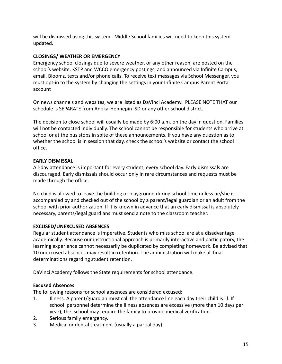will be dismissed using this system. Middle School families will need to keep this system updated.

# <span id="page-15-0"></span>**CLOSINGS/ WEATHER OR EMERGENCY**

Emergency school closings due to severe weather, or any other reason, are posted on the school's website, KSTP and WCCO emergency postings, and announced via Infinite Campus, email, Bloomz, texts and/or phone calls. To receive text messages via School Messenger, you must opt-in to the system by changing the settings in your Infinite Campus Parent Portal account

On news channels and websites, we are listed as DaVinci Academy. PLEASE NOTE THAT our schedule is SEPARATE from Anoka-Hennepin ISD or any other school district.

The decision to close school will usually be made by 6:00 a.m. on the day in question. Families will not be contacted individually. The school cannot be responsible for students who arrive at school or at the bus stops in spite of these announcements. If you have any question as to whether the school is in session that day, check the school's website or contact the school office.

# <span id="page-15-1"></span>**EARLY DISMISSAL**

All-day attendance is important for every student, every school day. Early dismissals are discouraged. Early dismissals should occur only in rare circumstances and requests must be made through the office.

No child is allowed to leave the building or playground during school time unless he/she is accompanied by and checked out of the school by a parent/legal guardian or an adult from the school with prior authorization. If it is known in advance that an early dismissal is absolutely necessary, parents/legal guardians must send a note to the classroom teacher.

# <span id="page-15-2"></span>**EXCUSED/UNEXCUSED ABSENCES**

Regular student attendance is imperative. Students who miss school are at a disadvantage academically. Because our instructional approach is primarily interactive and participatory, the learning experience cannot necessarily be duplicated by completing homework. Be advised that 10 unexcused absences may result in retention. The administration will make all final determinations regarding student retention.

DaVinci Academy follows the State requirements for school attendance.

# <span id="page-15-3"></span>**Excused Absences**

The following reasons for school absences are considered excused:

- 1. Illness. A parent/guardian must call the attendance line each day their child is ill. If school personnel determine the illness absences are excessive (more than 10 days per year), the school may require the family to provide medical verification.
- 2. Serious family emergency.
- 3. Medical or dental treatment (usually a partial day).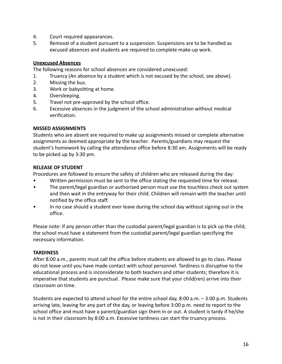- 4. Court required appearances.
- 5. Removal of a student pursuant to a suspension. Suspensions are to be handled as excused absences and students are required to complete make-up work.

#### <span id="page-16-0"></span>**Unexcused Absences**

The following reasons for school absences are considered unexcused:

- 1. Truancy (An absence by a student which is not excused by the school, see above).
- 2. Missing the bus.
- 3. Work or babysitting at home.
- 4. Oversleeping.
- 5. Travel not pre-approved by the school office.
- 6. Excessive absences in the judgment of the school administration without medical verification.

#### <span id="page-16-1"></span>**MISSED ASSIGNMENTS**

Students who are absent are required to make up assignments missed or complete alternative assignments as deemed appropriate by the teacher. Parents/guardians may request the student's homework by calling the attendance office before 8:30 am. Assignments will be ready to be picked up by 3:30 pm.

#### <span id="page-16-2"></span>**RELEASE OF STUDENT**

Procedures are followed to ensure the safety of children who are released during the day:

- Written permission must be sent to the office stating the requested time for release.
- The parent/legal guardian or authorized person must use the touchless check out system and then wait in the entryway for their child. Children will remain with the teacher until notified by the office staff.
- In no case should a student ever leave during the school day without signing out in the office.

Please note: If any person other than the custodial parent/legal guardian is to pick up the child, the school must have a statement from the custodial parent/legal guardian specifying the necessary information.

# <span id="page-16-3"></span>**TARDINESS**

After 8:00 a.m., parents must call the office before students are allowed to go to class. Please do not leave until you have made contact with school personnel. Tardiness is disruptive to the educational process and is inconsiderate to both teachers and other students; therefore it is imperative that students are punctual. Please make sure that your child(ren) arrive into their classroom on time.

Students are expected to attend school for the entire school day, 8:00 a.m. – 3:00 p.m. Students arriving late, leaving for any part of the day, or leaving before 3:00 p.m. need to report to the school office and must have a parent/guardian sign them in or out. A student is tardy if he/she is not in their classroom by 8:00 a.m. Excessive tardiness can start the truancy process.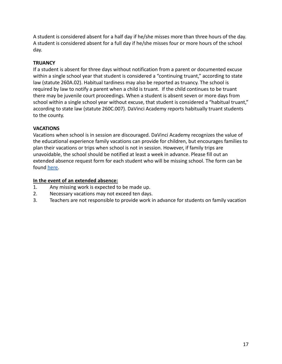A student is considered absent for a half day if he/she misses more than three hours of the day. A student is considered absent for a full day if he/she misses four or more hours of the school day.

# <span id="page-17-0"></span>**TRUANCY**

If a student is absent for three days without notification from a parent or documented excuse within a single school year that student is considered a "continuing truant," according to state law (statute 260A.02). Habitual tardiness may also be reported as truancy. The school is required by law to notify a parent when a child is truant. If the child continues to be truant there may be juvenile court proceedings. When a student is absent seven or more days from school within a single school year without excuse, that student is considered a "habitual truant," according to state law (statute 260C.007). DaVinci Academy reports habitually truant students to the county.

# <span id="page-17-1"></span>**VACATIONS**

Vacations when school is in session are discouraged. DaVinci Academy recognizes the value of the educational experience family vacations can provide for children, but encourages families to plan their vacations or trips when school is not in session. However, if family trips are unavoidable, the school should be notified at least a week in advance. Please fill out an extended absence request form for each student who will be missing school. The form can be found [here.](https://docs.google.com/forms/d/e/1FAIpQLSdumIBcyni653WptjKh66P19o9SPxDMuU1umtPa2CRp1USjNg/viewform)

# **In the event of an extended absence:**

- 1. Any missing work is expected to be made up.
- 2. Necessary vacations may not exceed ten days.
- 3. Teachers are not responsible to provide work in advance for students on family vacation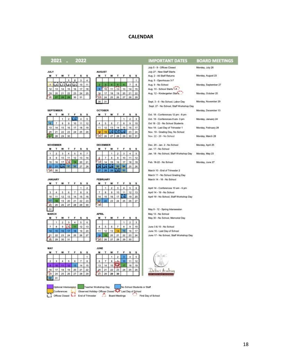#### **CALENDAR**

#### <span id="page-18-0"></span>2021 . 2022

| JULY |  |    |  |
|------|--|----|--|
|      |  |    |  |
|      |  |    |  |
|      |  |    |  |
|      |  | ٠  |  |
|      |  | ٦ŋ |  |

|  |  |  | 5  |
|--|--|--|----|
|  |  |  | 22 |
|  |  |  |    |
|  |  |  |    |

 $587$ 

 $\,$  1  $\,$ 

 $\,$  8  $9 | 10$ 

12 13 14 15 16 17

19 20 21 22 23 24

26 27 28 29 30 31

 $1 \quad 2 \quad 3$ 

14 15 16 17 18 19

24  $25$ 

 $8$  $9 | 10$  $11^{\circ}$  $12$ 

 $23$   $23$ 

28 29 130 31

 $2 \mid 3 \mid 4$ 

7 8 9 10 11 12 13<br>14 15 16 17 18 19 20

23 24 25

F.

 $\mathbf{1}$  $2 \mid 3$ 

 $4$  $\overline{5}$ 

26

 $5 \quad 6$ 

 $26$ 27

s s

**OCTOBER** 

M  $T$ W T. F  $\mathbf{s}$ s  $\mathbf{2}$  .  $\overline{a}$ 

 $\overline{4}$ 

 $11$ 

 $\mathbf{M}$  $\mathbf{r}$ w  $\mathbf{T}$ F. s R

 $4x$ 

m

27

M  $\mathsf T$ w  $\mathbf T$ F s š

 $78$ 

**APRIL** 

 $\mathbf{M}$ 

 $\overline{4}$ s.  $\vec{b}$  $\tau$  $\,$  8  $9 | 10$ 

DECEMBER

 $\overline{\imath}$ 

21

FEBRUARY

 $1$ 

 $\overline{22}$ 

 $\mathbf{r}$ w T.

#### **SEPTEMBER**

| N | w  |    |   |    |    |
|---|----|----|---|----|----|
|   |    |    |   |    | 5  |
|   |    |    |   |    |    |
|   | 15 | 16 | ı | 8  |    |
|   | 22 | z  |   | «b | 26 |
|   |    |    |   |    |    |

#### **NOVEMBER**

|  |  | $20 -$ |  |
|--|--|--------|--|
|  |  |        |  |
|  |  |        |  |

#### **JANUARY**

| м  |    |    |    |    |    |    |
|----|----|----|----|----|----|----|
|    |    |    |    |    |    |    |
| 3  |    |    |    |    | 8  | 9  |
| ١a |    | ä  |    | 14 |    | t6 |
|    |    | 9  |    |    | 92 | 23 |
|    | 25 | 26 | 27 | 28 | 29 | 30 |
|    |    |    |    |    |    |    |
|    |    |    |    |    |    |    |

|  | B  |    |         |    | ä  |
|--|----|----|---------|----|----|
|  |    |    |         |    | 20 |
|  | 22 | 23 | $^{24}$ | 26 | 27 |
|  |    |    |         |    |    |

| MAY |    |    |    |    |
|-----|----|----|----|----|
|     |    |    |    |    |
|     |    |    |    |    |
|     |    |    |    |    |
|     |    |    |    |    |
|     | 18 | 20 |    | 22 |
|     | 25 |    | 28 |    |
|     |    |    |    |    |
|     |    |    |    |    |

| J<br>M |  |  |  |
|--------|--|--|--|
|        |  |  |  |

| 13 |    |    |    |     |    |
|----|----|----|----|-----|----|
|    | 22 | 23 | 24 | 25. | 26 |
|    |    |    |    |     |    |

Conferences<br>Conferences Cheerved Holday-Offices Closed Ave Last Day of School<br>Conferences Closed La End of Trimester Board Meetings Cheer No School Students or Staff First Day of School

#### **IMPORTANT DATES BOARD MEETINGS** July 5 - 9 - Offices Closed Monday, July 26 July 27 - New Staff Starts Aug. 2 - All Staff Returns Monday, August 23 Aug. 5 - Openhouse 3-7 Aug. 9 - No School Monday, September 27 Aug. 10 - School Starts 1.8. Aug. 12 - Kindergarten Starfs.... Monday, October 25 Monday, November 29 Sept. 3 - 6 - No School, Labor Day Sept. 27 - No School, Staff Workshop Day Monday, December 13 Oct. 18 - Conferences 12 pm - 8 pm Oct. 19 - Conferences 8 am- 3 pm Monday, January 24 Oct 18 - 22 - No School Students Nov 18 - Last Day of Trimester 1 Monday, February 28 Nov. 19 - Grading Day, No School Nov. 22 - 26 - No School Monday, March 28 Dec. 20 - Jan. 2 - No School Monday, April 25 Jan. 17 - No School Jan. 18 - No School, Staff Workshop Day Monday, May 23 Feb. 18-22 - No School Monday, June 27 March 10 - End of Trimester 2 March 11 - No School Grading Day March 14 - 18 - No School April 14 - Conferences 10 am - 6 pm April 14 - 19 - No School April 19 - No School, Staff Workshop Day May 9 - 12 - Spring Intersession May 13 - No School May 30 - No School, Memorial Day June 3 & 10 - No School

June 16 - Last Day of School June 17 - No School, Staff Workshop Day

Dalisci Aca **GEARTEA** 

18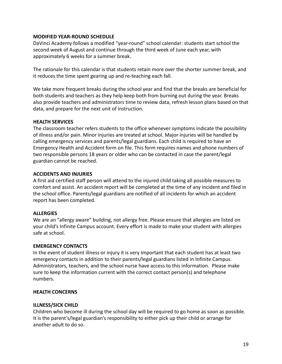#### <span id="page-19-0"></span>**MODIFIED YEAR-ROUND SCHEDULE**

DaVinci Academy follows a modified "year-round" school calendar: students start school the second week of August and continue through the third week of June each year, with approximately 6 weeks for a summer break.

The rationale for this calendar is that students retain more over the shorter summer break, and it reduces the time spent gearing up and re-teaching each fall.

We take more frequent breaks during the school year and find that the breaks are beneficial for both students and teachers as they help keep both from burning out during the year. Breaks also provide teachers and administrators time to review data, refresh lesson plans based on that data, and prepare for the next unit of instruction.

#### <span id="page-19-1"></span>**HEALTH SERVICES**

The classroom teacher refers students to the office whenever symptoms indicate the possibility of illness and/or pain. Minor injuries are treated at school. Major injuries will be handled by calling emergency services and parents/legal guardians. Each child is required to have an Emergency Health and Accident form on file. This form requires names and phone numbers of two responsible persons 18 years or older who can be contacted in case the parent/legal guardian cannot be reached.

#### <span id="page-19-2"></span>**ACCIDENTS AND INJURIES**

A first aid certified staff person will attend to the injured child taking all possible measures to comfort and assist. An accident report will be completed at the time of any incident and filed in the school office. Parents/legal guardians are notified of all incidents for which an accident report has been completed.

# <span id="page-19-3"></span>**ALLERGIES**

We are an "allergy aware" building, not allergy free. Please ensure that allergies are listed on your child's Infinite Campus account. Every effort is made to make your student with allergies safe at school.

#### <span id="page-19-4"></span>**EMERGENCY CONTACTS**

In the event of student illness or injury it is very important that each student has at least two emergency contacts in addition to their parents/legal guardians listed in Infinite Campus. Administrators, teachers, and the school nurse have access to this information. Please make sure to keep the information current with the correct contact person(s) and telephone numbers.

#### <span id="page-19-5"></span>**HEALTH CONCERNS**

#### <span id="page-19-6"></span>**ILLNESS/SICK CHILD**

Children who become ill during the school day will be required to go home as soon as possible. It is the parent's/legal guardian's responsibility to either pick up their child or arrange for another adult to do so.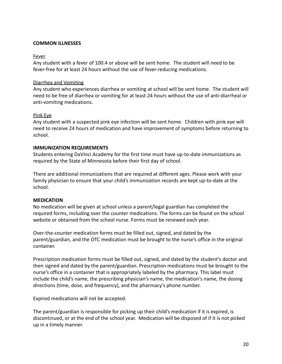#### **COMMON ILLNESSES**

#### Fever

Any student with a fever of 100.4 or above will be sent home. The student will need to be fever-free for at least 24 hours without the use of fever-reducing medications.

#### Diarrhea and Vomiting

Any student who experiences diarrhea or vomiting at school will be sent home. The student will need to be free of diarrhea or vomiting for at least 24 hours without the use of anti-diarrheal or anti-vomiting medications.

#### Pink Eye

Any student with a suspected pink eye infection will be sent home. Children with pink eye will need to receive 24 hours of medication and have improvement of symptoms before returning to school.

#### <span id="page-20-0"></span>**IMMUNIZATION REQUIREMENTS**

Students entering DaVinci Academy for the first time must have up-to-date immunizations as required by the State of Minnesota before their first day of school.

There are additional immunizations that are required at different ages. Please work with your family physician to ensure that your child's immunization records are kept up-to-date at the school.

#### <span id="page-20-1"></span>**MEDICATION**

No medication will be given at school unless a parent/legal guardian has completed the required forms, including over the counter medications. The forms can be found on the school website or obtained from the school nurse. Forms must be renewed each year.

Over-the-counter medication forms must be filled out, signed, and dated by the parent/guardian, and the OTC medication must be brought to the nurse's office in the original container.

Prescription medication forms must be filled out, signed, and dated by the student's doctor and then signed and dated by the parent/guardian. Prescription medications must be brought to the nurse's office in a container that is appropriately labeled by the pharmacy. This label must include the child's name, the prescribing physician's name, the medication's name, the dosing directions (time, dose, and frequency), and the pharmacy's phone number.

Expired medications will not be accepted.

The parent/guardian is responsible for picking up their child's medication if it is expired, is discontinued, or at the end of the school year. Medication will be disposed of if it is not picked up in a timely manner.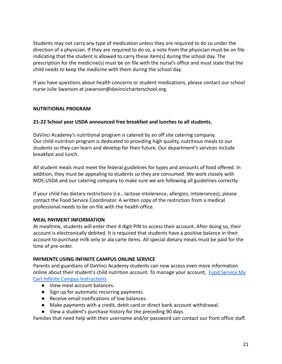Students may not carry any type of medication unless they are required to do so under the direction of a physician. If they are required to do so, a note from the physician must be on file indicating that the student is allowed to carry these item(s) during the school day. The prescription for the medicine(s) must be on file with the nurse's office and must state that the child needs to keep the medicine with them during the school day.

If you have questions about health concerns or student medications, please contact our school nurse Julie Swanson at jswanson@davincicharterschool.org.

# <span id="page-21-0"></span>**NUTRITIONAL PROGRAM**

#### **21-22 School year USDA announced free breakfast and lunches to all students.**

DaVinci Academy's nutritional program is catered by an off site catering company. Our child nutrition program is dedicated to providing high quality, nutritious meals to our students so they can learn and develop for their future. Our department's services include breakfast and lunch.

All student meals must meet the federal guidelines for types and amounts of food offered. In addition, they must be appealing to students so they are consumed. We work closely with MDE,USDA and our catering company to make sure we are following all guidelines correctly.

If your child has dietary restrictions (i.e., lactose intolerance, allergies, intolerances), please contact the Food Service Coordinator. A written copy of the restriction from a medical professional needs to be on file with the health office.

#### <span id="page-21-1"></span>**MEAL PAYMENT INFORMATION**

At mealtime, students will enter their 4 digit PIN to access their account. After doing so, their account is electronically debited. It is required that students have a positive balance in their account to purchase milk only or ala carte items. All special dietary meals must be paid for the time of pre-order.

#### <span id="page-21-2"></span>**PAYMENTS USING INFINITE CAMPUS ONLINE SERVICE**

Parents and guardians of DaVinci Academy students can now access even more information online about their student's child nutrition account. To manage your account, [Food Service My](https://davincicharterschool.org/?ddownload=32512) [Cart Infinite Campus Instructions](https://davincicharterschool.org/?ddownload=32512)

- View meal account balances.
- Sign up for automatic recurring payments.
- Receive email notifications of low balances.
- Make payments with a credit, debit card or direct bank account withdrawal.
- View a student's purchase history for the preceding 90 days.

Families that need help with their username and/or password can contact our front office staff.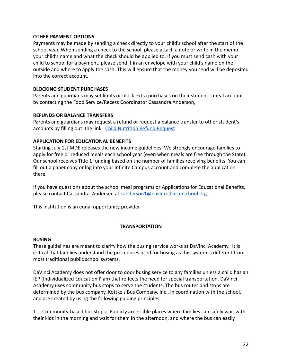#### <span id="page-22-0"></span>**OTHER PAYMENT OPTIONS**

Payments may be made by sending a check directly to your child's school after the start of the school year. When sending a check to the school, please attach a note or write in the memo your child's name and what the check should be applied to. If you must send cash with your child to school for a payment, please send it in an envelope with your child's name on the outside and where to apply the cash. This will ensure that the money you send will be deposited into the correct account.

#### <span id="page-22-1"></span>**BLOCKING STUDENT PURCHASES**

Parents and guardians may set limits or block extra purchases on their student's meal account by contacting the Food Service/Recess Coordinator Cassandra Anderson,

#### <span id="page-22-2"></span>**REFUNDS OR BALANCE TRANSFERS**

Parents and guardians may request a refund or request a balance transfer to other student's accounts by filling out the link. Child Nutrition [Refund Request](https://forms.gle/hsZV94yqytgP11F79)

#### <span id="page-22-3"></span>**APPLICATION FOR EDUCATIONAL BENEFITS**

Starting July 1st MDE releases the new income guidelines. We strongly encourage families to apply for free or reduced meals each school year (even when meals are free through the State). Our school receives Title 1 funding based on the number of families receiving benefits. You can fill out a paper copy or log into your Infinite Campus account and complete the application there.

If you have questions about the school meal programs or Applications for Educational Benefits, please contact Cassandra Anderson at [canderson1@davincicharterschool.org](mailto:canderson1@davincicharterschool.org).

This institution is an equal opportunity provider.

# **TRANSPORTATION**

#### <span id="page-22-5"></span><span id="page-22-4"></span>**BUSING**

These guidelines are meant to clarify how the busing service works at DaVinci Academy. It is critical that families understand the procedures used for busing as this system is different from most traditional public school systems.

DaVinci Academy does not offer door to door busing service to any families unless a child has an IEP (Individualized Education Plan) that reflects the need for special transportation. DaVinci Academy uses community bus stops to serve the students. The bus routes and stops are determined by the bus company, Kottke's Bus Company, Inc., in coordination with the school, and are created by using the following guiding principles:

1. Community-based bus stops: Publicly accessible places where families can safely wait with their kids in the morning and wait for them in the afternoon, and where the bus can easily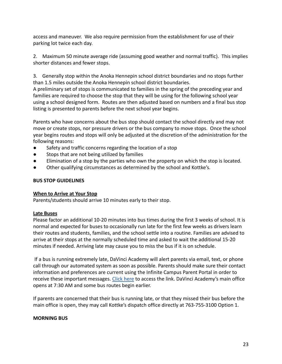access and maneuver. We also require permission from the establishment for use of their parking lot twice each day.

2. Maximum 50 minute average ride (assuming good weather and normal traffic). This implies shorter distances and fewer stops.

3. Generally stop within the Anoka Hennepin school district boundaries and no stops further than 1.5 miles outside the Anoka Hennepin school district boundaries.

A preliminary set of stops is communicated to families in the spring of the preceding year and families are required to choose the stop that they will be using for the following school year using a school designed form. Routes are then adjusted based on numbers and a final bus stop listing is presented to parents before the next school year begins.

Parents who have concerns about the bus stop should contact the school directly and may not move or create stops, nor pressure drivers or the bus company to move stops. Once the school year begins routes and stops will only be adjusted at the discretion of the administration for the following reasons:

- Safety and traffic concerns regarding the location of a stop
- Stops that are not being utilized by families
- Elimination of a stop by the parties who own the property on which the stop is located.
- Other qualifying circumstances as determined by the school and Kottke's.

# <span id="page-23-0"></span>**BUS STOP GUIDELINES**

# <span id="page-23-1"></span>**When to Arrive at Your Stop**

Parents/students should arrive 10 minutes early to their stop.

# <span id="page-23-2"></span>**Late Buses**

Please factor an additional 10-20 minutes into bus times during the first 3 weeks of school. It is normal and expected for buses to occasionally run late for the first few weeks as drivers learn their routes and students, families, and the school settle into a routine. Families are advised to arrive at their stops at the normally scheduled time and asked to wait the additional 15-20 minutes if needed. Arriving late may cause you to miss the bus if it is on schedule.

If a bus is running extremely late, DaVinci Academy will alert parents via email, text, or phone call through our automated system as soon as possible. Parents should make sure their contact information and preferences are current using the Infinite Campus Parent Portal in order to receive these important messages. [Click here](https://mncloud3.infinitecampus.org/campus/portal/davinci.jsp?status=portalLogoff&lang=en.) to access the link. DaVinci Academy's main office opens at 7:30 AM and some bus routes begin earlier.

If parents are concerned that their bus is running late, or that they missed their bus before the main office is open, they may call Kottke's dispatch office directly at 763-755-3100 Option 1.

# <span id="page-23-3"></span>**MORNING BUS**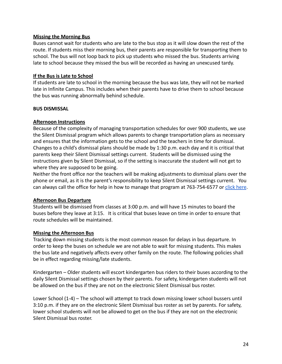#### <span id="page-24-0"></span>**Missing the Morning Bus**

Buses cannot wait for students who are late to the bus stop as it will slow down the rest of the route. If students miss their morning bus, their parents are responsible for transporting them to school. The bus will not loop back to pick up students who missed the bus. Students arriving late to school because they missed the bus will be recorded as having an unexcused tardy.

#### <span id="page-24-1"></span>**If the Bus is Late to School**

If students are late to school in the morning because the bus was late, they will not be marked late in Infinite Campus. This includes when their parents have to drive them to school because the bus was running abnormally behind schedule.

#### <span id="page-24-2"></span>**BUS DISMISSAL**

#### <span id="page-24-3"></span>**Afternoon Instructions**

Because of the complexity of managing transportation schedules for over 900 students, we use the Silent Dismissal program which allows parents to change transportation plans as necessary and ensures that the information gets to the school and the teachers in time for dismissal. Changes to a child's dismissal plans should be made by 1:30 p.m. each day and it is critical that parents keep their Silent Dismissal settings current. Students will be dismissed using the instructions given by Silent Dismissal, so if the setting is inaccurate the student will not get to where they are supposed to be going.

Neither the front office nor the teachers will be making adjustments to dismissal plans over the phone or email, as it is the parent's responsibility to keep Silent Dismissal settings current. You can always call the office for help in how to manage that program at 763-754-6577 or [click here](https://davinci.sdcs28.com/).

#### <span id="page-24-4"></span>**Afternoon Bus Departure**

Students will be dismissed from classes at 3:00 p.m. and will have 15 minutes to board the buses before they leave at 3:15. It is critical that buses leave on time in order to ensure that route schedules will be maintained.

#### <span id="page-24-5"></span>**Missing the Afternoon Bus**

Tracking down missing students is the most common reason for delays in bus departure. In order to keep the buses on schedule we are not able to wait for missing students. This makes the bus late and negatively affects every other family on the route. The following policies shall be in effect regarding missing/late students.

Kindergarten – Older students will escort kindergarten bus riders to their buses according to the daily Silent Dismissal settings chosen by their parents. For safety, kindergarten students will not be allowed on the bus if they are not on the electronic Silent Dismissal bus roster.

Lower School (1-4) – The school will attempt to track down missing lower school bussers until 3:10 p.m. if they are on the electronic Silent Dismissal bus roster as set by parents. For safety, lower school students will not be allowed to get on the bus if they are not on the electronic Silent Dismissal bus roster.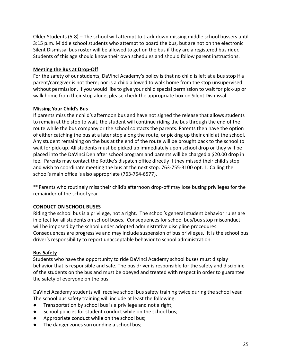Older Students (5-8) – The school will attempt to track down missing middle school bussers until 3:15 p.m. Middle school students who attempt to board the bus, but are not on the electronic Silent Dismissal bus roster will be allowed to get on the bus if they are a registered bus rider. Students of this age should know their own schedules and should follow parent instructions.

# <span id="page-25-0"></span>**Meeting the Bus at Drop-Off**

For the safety of our students, DaVinci Academy's policy is that no child is left at a bus stop if a parent/caregiver is not there; nor is a child allowed to walk home from the stop unsupervised without permission. If you would like to give your child special permission to wait for pick-up or walk home from their stop alone, please check the appropriate box on Silent Dismissal.

# <span id="page-25-1"></span>**Missing Your Child's Bus**

If parents miss their child's afternoon bus and have not signed the release that allows students to remain at the stop to wait, the student will continue riding the bus through the end of the route while the bus company or the school contacts the parents. Parents then have the option of either catching the bus at a later stop along the route, or picking up their child at the school. Any student remaining on the bus at the end of the route will be brought back to the school to wait for pick-up. All students must be picked up immediately upon school drop or they will be placed into the DaVinci Den after school program and parents will be charged a \$20.00 drop in fee. Parents may contact the Kottke's dispatch office directly if they missed their child's stop and wish to coordinate meeting the bus at the next stop. 763-755-3100 opt. 1. Calling the school's main office is also appropriate (763-754-6577).

\*\*Parents who routinely miss their child's afternoon drop-off may lose busing privileges for the remainder of the school year.

# <span id="page-25-2"></span>**CONDUCT ON SCHOOL BUSES**

Riding the school bus is a privilege, not a right. The school's general student behavior rules are in effect for all students on school buses. Consequences for school bus/bus stop misconduct will be imposed by the school under adopted administrative discipline procedures. Consequences are progressive and may include suspension of bus privileges. It is the school bus driver's responsibility to report unacceptable behavior to school administration.

# <span id="page-25-3"></span>**Bus Safety**

Students who have the opportunity to ride DaVinci Academy school buses must display behavior that is responsible and safe. The bus driver is responsible for the safety and discipline of the students on the bus and must be obeyed and treated with respect in order to guarantee the safety of everyone on the bus.

DaVinci Academy students will receive school bus safety training twice during the school year. The school bus safety training will include at least the following:

- Transportation by school bus is a privilege and not a right;
- School policies for student conduct while on the school bus;
- Appropriate conduct while on the school bus;
- The danger zones surrounding a school bus;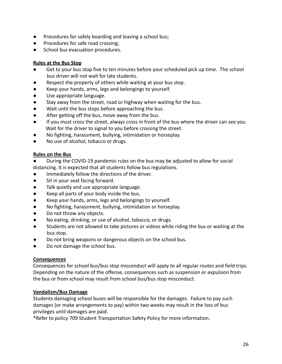- Procedures for safely boarding and leaving a school bus;
- Procedures for safe road crossing;
- School bus evacuation procedures.

# <span id="page-26-0"></span>**Rules at the Bus Stop**

- Get to your bus stop five to ten minutes before your scheduled pick up time. The school bus driver will not wait for late students.
- Respect the property of others while waiting at your bus stop.
- Keep your hands, arms, legs and belongings to yourself.
- Use appropriate language.
- Stay away from the street, road or highway when waiting for the bus.
- Wait until the bus stops before approaching the bus.
- After getting off the bus, move away from the bus.
- If you must cross the street, always cross in front of the bus where the driver can see you. Wait for the driver to signal to you before crossing the street.
- No fighting, harassment, bullying, intimidation or horseplay.
- No use of alcohol, tobacco or drugs.

# <span id="page-26-1"></span>**Rules on the Bus**

- During the COVID-19 pandemic rules on the bus may be adjusted to allow for social distancing. It is expected that all students follow bus regulations.
- Immediately follow the directions of the driver.
- Sit in your seat facing forward.
- Talk quietly and use appropriate language.
- Keep all parts of your body inside the bus.
- Keep your hands, arms, legs and belongings to yourself.
- No fighting, harassment, bullying, intimidation or horseplay.
- Do not throw any objects.
- No eating, drinking, or use of alcohol, tobacco, or drugs.
- Students are not allowed to take pictures or videos while riding the bus or waiting at the bus stop.
- Do not bring weapons or dangerous objects on the school bus.
- Do not damage the school bus.

# <span id="page-26-2"></span>**Consequences**

Consequences for school bus/bus stop misconduct will apply to all regular routes and field trips. Depending on the nature of the offense, consequences such as suspension or expulsion from the bus or from school may result from school bus/bus stop misconduct.

# <span id="page-26-3"></span>**Vandalism/Bus Damage**

Students damaging school buses will be responsible for the damages. Failure to pay such damages (or make arrangements to pay) within two weeks may result in the loss of bus privileges until damages are paid.

\*Refer to policy 709 Student Transportation Safety Policy for more information.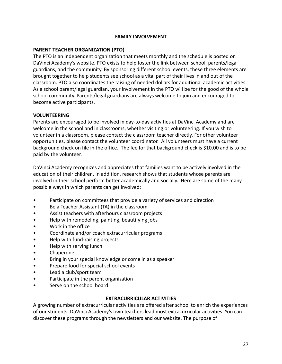#### **FAMILY INVOLVEMENT**

#### <span id="page-27-1"></span><span id="page-27-0"></span>**PARENT TEACHER ORGANIZATION (PTO)**

The PTO is an independent organization that meets monthly and the schedule is posted on DaVinci Academy's website. PTO exists to help foster the link between school, parents/legal guardians, and the community. By sponsoring different school events, these three elements are brought together to help students see school as a vital part of their lives in and out of the classroom. PTO also coordinates the raising of needed dollars for additional academic activities. As a school parent/legal guardian, your involvement in the PTO will be for the good of the whole school community. Parents/legal guardians are always welcome to join and encouraged to become active participants.

#### <span id="page-27-2"></span>**VOLUNTEERING**

Parents are encouraged to be involved in day-to-day activities at DaVinci Academy and are welcome in the school and in classrooms, whether visiting or volunteering. If you wish to volunteer in a classroom, please contact the classroom teacher directly. For other volunteer opportunities, please contact the volunteer coordinator. All volunteers must have a current background check on file in the office. The fee for that background check is \$10.00 and is to be paid by the volunteer.

DaVinci Academy recognizes and appreciates that families want to be actively involved in the education of their children. In addition, research shows that students whose parents are involved in their school perform better academically and socially. Here are some of the many possible ways in which parents can get involved:

- Participate on committees that provide a variety of services and direction
- Be a Teacher Assistant (TA) in the classroom
- Assist teachers with afterhours classroom projects
- Help with remodeling, painting, beautifying jobs
- Work in the office
- Coordinate and/or coach extracurricular programs
- Help with fund-raising projects
- Help with serving lunch
- Chaperone
- Bring in your special knowledge or come in as a speaker
- Prepare food for special school events
- Lead a club/sport team
- Participate in the parent organization
- Serve on the school board

#### **EXTRACURRICULAR ACTIVITIES**

<span id="page-27-3"></span>A growing number of extracurricular activities are offered after school to enrich the experiences of our students. DaVinci Academy's own teachers lead most extracurricular activities. You can discover these programs through the newsletters and our website. The purpose of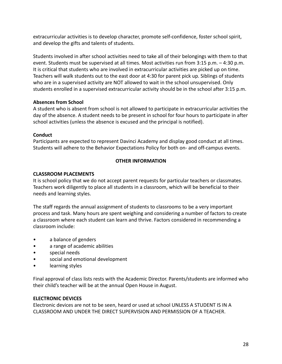extracurricular activities is to develop character, promote self-confidence, foster school spirit, and develop the gifts and talents of students.

Students involved in after school activities need to take all of their belongings with them to that event. Students must be supervised at all times. Most activities run from 3:15 p.m. – 4:30 p.m. It is critical that students who are involved in extracurricular activities are picked up on time. Teachers will walk students out to the east door at 4:30 for parent pick up. Siblings of students who are in a supervised activity are NOT allowed to wait in the school unsupervised. Only students enrolled in a supervised extracurricular activity should be in the school after 3:15 p.m.

# **Absences from School**

A student who is absent from school is not allowed to participate in extracurricular activities the day of the absence. A student needs to be present in school for four hours to participate in after school activities (unless the absence is excused and the principal is notified).

# **Conduct**

Participants are expected to represent Davinci Academy and display good conduct at all times. Students will adhere to the Behavior Expectations Policy for both on- and off-campus events.

# **OTHER INFORMATION**

# <span id="page-28-1"></span><span id="page-28-0"></span>**CLASSROOM PLACEMENTS**

It is school policy that we do not accept parent requests for particular teachers or classmates. Teachers work diligently to place all students in a classroom, which will be beneficial to their needs and learning styles.

The staff regards the annual assignment of students to classrooms to be a very important process and task. Many hours are spent weighing and considering a number of factors to create a classroom where each student can learn and thrive. Factors considered in recommending a classroom include:

- a balance of genders
- a range of academic abilities
- special needs
- social and emotional development
- learning styles

Final approval of class lists rests with the Academic Director. Parents/students are informed who their child's teacher will be at the annual Open House in August.

# <span id="page-28-2"></span>**ELECTRONIC DEVICES**

Electronic devices are not to be seen, heard or used at school UNLESS A STUDENT IS IN A CLASSROOM AND UNDER THE DIRECT SUPERVISION AND PERMISSION OF A TEACHER.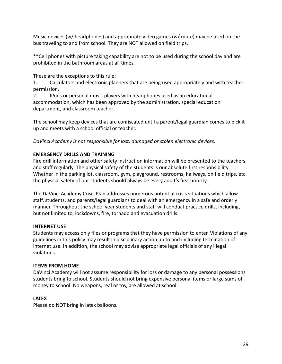Music devices (w/ headphones) and appropriate video games (w/ mute) may be used on the bus traveling to and from school. They are NOT allowed on field trips.

\*\*Cell phones with picture taking capability are not to be used during the school day and are prohibited in the bathroom areas at all times.

These are the exceptions to this rule:

1. Calculators and electronic planners that are being used appropriately and with teacher permission.

2. IPods or personal music players with headphones used as an educational accommodation, which has been approved by the administration, special education department, and classroom teacher.

The school may keep devices that are confiscated until a parent/legal guardian comes to pick it up and meets with a school official or teacher.

*DaVinci Academy is not responsible for lost, damaged or stolen electronic devices.*

# <span id="page-29-0"></span>**EMERGENCY DRILLS AND TRAINING**

Fire drill information and other safety instruction information will be presented to the teachers and staff regularly. The physical safety of the students is our absolute first responsibility. Whether in the parking lot, classroom, gym, playground, restrooms, hallways, on field trips, etc. the physical safety of our students should always be every adult's first priority.

The DaVinci Academy Crisis Plan addresses numerous potential crisis situations which allow staff, students, and parents/legal guardians to deal with an emergency in a safe and orderly manner. Throughout the school year students and staff will conduct practice drills, including, but not limited to, lockdowns, fire, tornado and evacuation drills.

# <span id="page-29-1"></span>**INTERNET USE**

Students may access only files or programs that they have permission to enter. Violations of any guidelines in this policy may result in disciplinary action up to and including termination of internet use. In addition, the school may advise appropriate legal officials of any illegal violations.

# <span id="page-29-2"></span>**ITEMS FROM HOME**

DaVinci Academy will not assume responsibility for loss or damage to any personal possessions students bring to school. Students should not bring expensive personal items or large sums of money to school. No weapons, real or toy, are allowed at school.

# <span id="page-29-3"></span>**LATEX**

Please do NOT bring in latex balloons.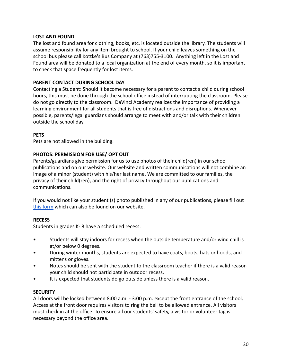#### <span id="page-30-0"></span>**LOST AND FOUND**

The lost and found area for clothing, books, etc. is located outside the library. The students will assume responsibility for any item brought to school. If your child leaves something on the school bus please call Kottke's Bus Company at (763)755-3100. Anything left in the Lost and Found area will be donated to a local organization at the end of every month, so it is important to check that space frequently for lost items.

#### <span id="page-30-1"></span>**PARENT CONTACT DURING SCHOOL DAY**

Contacting a Student: Should it become necessary for a parent to contact a child during school hours, this must be done through the school office instead of interrupting the classroom. Please do not go directly to the classroom. DaVinci Academy realizes the importance of providing a learning environment for all students that is free of distractions and disruptions. Whenever possible, parents/legal guardians should arrange to meet with and/or talk with their children outside the school day.

#### <span id="page-30-2"></span>**PETS**

Pets are not allowed in the building.

#### <span id="page-30-3"></span>**PHOTOS: PERMISSION FOR USE/ OPT OUT**

Parents/guardians give permission for us to use photos of their child(ren) in our school publications and on our website. Our website and written communications will not combine an image of a minor (student) with his/her last name. We are committed to our families, the privacy of their child(ren), and the right of privacy throughout our publications and communications.

If you would not like your student (s) photo published in any of our publications, please fill out [this form](https://docs.google.com/forms/d/1fMlZWEv_U68D9KSXsT0CUp7dwP5POiuYBCEMjcerRF0/edit) which can also be found on our website.

# <span id="page-30-4"></span>**RECESS**

Students in grades K- 8 have a scheduled recess.

- Students will stay indoors for recess when the outside temperature and/or wind chill is at/or below 0 degrees.
- During winter months, students are expected to have coats, boots, hats or hoods, and mittens or gloves.
- Notes should be sent with the student to the classroom teacher if there is a valid reason your child should not participate in outdoor recess.
- It is expected that students do go outside unless there is a valid reason.

#### <span id="page-30-5"></span>**SECURITY**

All doors will be locked between 8:00 a.m. - 3:00 p.m. except the front entrance of the school. Access at the front door requires visitors to ring the bell to be allowed entrance. All visitors must check in at the office. To ensure all our students' safety, a visitor or volunteer tag is necessary beyond the office area.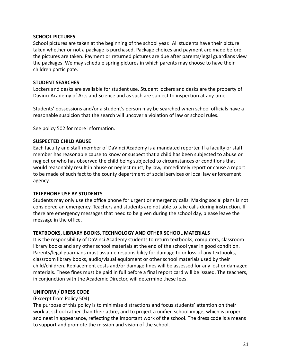#### <span id="page-31-0"></span>**SCHOOL PICTURES**

School pictures are taken at the beginning of the school year. All students have their picture taken whether or not a package is purchased. Package choices and payment are made before the pictures are taken. Payment or returned pictures are due after parents/legal guardians view the packages. We may schedule spring pictures in which parents may choose to have their children participate.

#### <span id="page-31-1"></span>**STUDENT SEARCHES**

Lockers and desks are available for student use. Student lockers and desks are the property of Davinci Academy of Arts and Science and as such are subject to inspection at any time.

Students' possessions and/or a student's person may be searched when school officials have a reasonable suspicion that the search will uncover a violation of law or school rules.

See policy 502 for more information.

#### <span id="page-31-2"></span>**SUSPECTED CHILD ABUSE**

Each faculty and staff member of DaVinci Academy is a mandated reporter. If a faculty or staff member has reasonable cause to know or suspect that a child has been subjected to abuse or neglect or who has observed the child being subjected to circumstances or conditions that would reasonably result in abuse or neglect must, by law, immediately report or cause a report to be made of such fact to the county department of social services or local law enforcement agency.

#### <span id="page-31-3"></span>**TELEPHONE USE BY STUDENTS**

Students may only use the office phone for urgent or emergency calls. Making social plans is not considered an emergency. Teachers and students are not able to take calls during instruction. If there are emergency messages that need to be given during the school day, please leave the message in the office.

# <span id="page-31-4"></span>**TEXTBOOKS, LIBRARY BOOKS, TECHNOLOGY AND OTHER SCHOOL MATERIALS**

It is the responsibility of DaVinci Academy students to return textbooks, computers, classroom library books and any other school materials at the end of the school year in good condition. Parents/legal guardians must assume responsibility for damage to or loss of any textbooks, classroom library books, audio/visual equipment or other school materials used by their child/children. Replacement costs and/or damage fines will be assessed for any lost or damaged materials. These fines must be paid in full before a final report card will be issued. The teachers, in conjunction with the Academic Director, will determine these fees.

# <span id="page-31-5"></span>**UNIFORM / DRESS CODE**

# (Excerpt from Policy 504)

The purpose of this policy is to minimize distractions and focus students' attention on their work at school rather than their attire, and to project a unified school image, which is proper and neat in appearance, reflecting the important work of the school. The dress code is a means to support and promote the mission and vision of the school.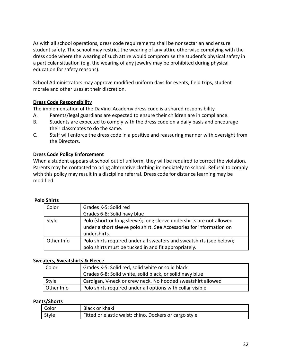As with all school operations, dress code requirements shall be nonsectarian and ensure student safety. The school may restrict the wearing of any attire otherwise complying with the dress code where the wearing of such attire would compromise the student's physical safety in a particular situation (e.g. the wearing of any jewelry may be prohibited during physical education for safety reasons).

School Administrators may approve modified uniform days for events, field trips, student morale and other uses at their discretion.

# <span id="page-32-0"></span>**Dress Code Responsibility**

The implementation of the DaVinci Academy dress code is a shared responsibility.

- A. Parents/legal guardians are expected to ensure their children are in compliance.
- B. Students are expected to comply with the dress code on a daily basis and encourage their classmates to do the same.
- C. Staff will enforce the dress code in a positive and reassuring manner with oversight from the Directors.

#### <span id="page-32-1"></span>**Dress Code Policy Enforcement**

When a student appears at school out of uniform, they will be required to correct the violation. Parents may be contacted to bring alternative clothing immediately to school. Refusal to comply with this policy may result in a discipline referral. Dress code for distance learning may be modified.

| U JIIILS   |                                                                                                                                                             |  |
|------------|-------------------------------------------------------------------------------------------------------------------------------------------------------------|--|
| Color      | Grades K-5: Solid red                                                                                                                                       |  |
|            | Grades 6-8: Solid navy blue                                                                                                                                 |  |
| Style      | Polo (short or long sleeve); long sleeve undershirts are not allowed<br>under a short sleeve polo shirt. See Accessories for information on<br>undershirts. |  |
| Other Info | Polo shirts required under all sweaters and sweatshirts (see below);<br>polo shirts must be tucked in and fit appropriately.                                |  |

# **Polo Shirts**

#### **Sweaters, Sweatshirts & Fleece**

| Color      | Grades K-5: Solid red, solid white or solid black           |  |
|------------|-------------------------------------------------------------|--|
|            | Grades 6-8: Solid white, solid black, or solid navy blue    |  |
| Style      | Cardigan, V-neck or crew neck. No hooded sweatshirt allowed |  |
| Other Info | Polo shirts required under all options with collar visible  |  |

#### **Pants/Shorts**

| Color | Black or khaki                                         |
|-------|--------------------------------------------------------|
| Style | Fitted or elastic waist; chino, Dockers or cargo style |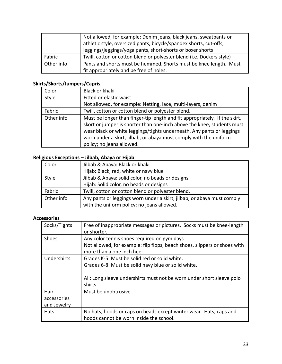|            | Not allowed, for example: Denim jeans, black jeans, sweatpants or<br>athletic style, oversized pants, bicycle/spandex shorts, cut-offs,<br>leggings/jeggings/yoga pants, short-shorts or boxer shorts |
|------------|-------------------------------------------------------------------------------------------------------------------------------------------------------------------------------------------------------|
| Fabric     | Twill, cotton or cotton blend or polyester blend (i.e. Dockers style)                                                                                                                                 |
| Other info | Pants and shorts must be hemmed. Shorts must be knee length. Must                                                                                                                                     |
|            | fit appropriately and be free of holes.                                                                                                                                                               |

# **Skirts/Skorts/Jumpers/Capris**

| Color      | Black or khaki                                                                                                                                                                                                                                                                                                                  |
|------------|---------------------------------------------------------------------------------------------------------------------------------------------------------------------------------------------------------------------------------------------------------------------------------------------------------------------------------|
| Style      | Fitted or elastic waist                                                                                                                                                                                                                                                                                                         |
|            | Not allowed, for example: Netting, lace, multi-layers, denim                                                                                                                                                                                                                                                                    |
| Fabric     | Twill, cotton or cotton blend or polyester blend.                                                                                                                                                                                                                                                                               |
| Other info | Must be longer than finger-tip length and fit appropriately. If the skirt,<br>skort or jumper is shorter than one-inch above the knee, students must<br>wear black or white leggings/tights underneath. Any pants or leggings<br>worn under a skirt, jilbab, or abaya must comply with the uniform<br>policy; no jeans allowed. |

# **Religious Exceptions – Jilbab, Abaya or Hijab**

| Color      | Jilbab & Abaya: Black or khaki                                         |  |
|------------|------------------------------------------------------------------------|--|
|            | Hijab: Black, red, white or navy blue                                  |  |
| Style      | Jilbab & Abaya: solid color, no beads or designs                       |  |
|            | Hijab: Solid color, no beads or designs                                |  |
| Fabric     | Twill, cotton or cotton blend or polyester blend.                      |  |
| Other info | Any pants or leggings worn under a skirt, jilbab, or abaya must comply |  |
|            | with the uniform policy; no jeans allowed.                             |  |

# **Accessories**

| Socks/Tights                       | Free of inappropriate messages or pictures. Socks must be knee-length<br>or shorter.                                                                                                    |
|------------------------------------|-----------------------------------------------------------------------------------------------------------------------------------------------------------------------------------------|
| Shoes                              | Any color tennis shoes required on gym days<br>Not allowed, for example: flip flops, beach shoes, slippers or shoes with<br>more than a one inch heel                                   |
| Undershirts                        | Grades K-5: Must be solid red or solid white.<br>Grades 6-8: Must be solid navy blue or solid white.<br>All: Long sleeve undershirts must not be worn under short sleeve polo<br>shirts |
| Hair<br>accessories<br>and Jewelry | Must be unobtrusive.                                                                                                                                                                    |
| Hats                               | No hats, hoods or caps on heads except winter wear. Hats, caps and<br>hoods cannot be worn inside the school.                                                                           |